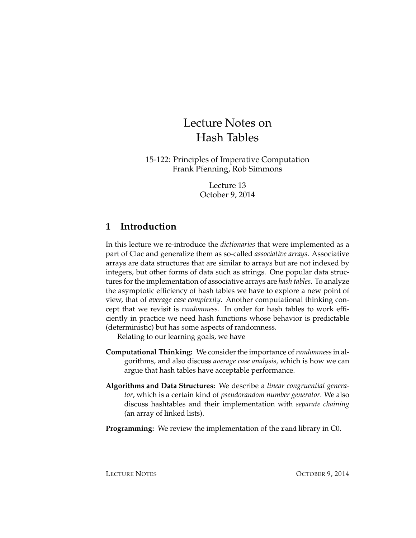# Lecture Notes on Hash Tables

15-122: Principles of Imperative Computation Frank Pfenning, Rob Simmons

> Lecture 13 October 9, 2014

# **1 Introduction**

In this lecture we re-introduce the *dictionaries* that were implemented as a part of Clac and generalize them as so-called *associative arrays*. Associative arrays are data structures that are similar to arrays but are not indexed by integers, but other forms of data such as strings. One popular data structures for the implementation of associative arrays are *hash tables*. To analyze the asymptotic efficiency of hash tables we have to explore a new point of view, that of *average case complexity*. Another computational thinking concept that we revisit is *randomness*. In order for hash tables to work efficiently in practice we need hash functions whose behavior is predictable (deterministic) but has some aspects of randomness.

Relating to our learning goals, we have

- **Computational Thinking:** We consider the importance of*randomness*in algorithms, and also discuss *average case analysis*, which is how we can argue that hash tables have acceptable performance.
- **Algorithms and Data Structures:** We describe a *linear congruential generator*, which is a certain kind of *pseudorandom number generator*. We also discuss hashtables and their implementation with *separate chaining* (an array of linked lists).
- **Programming:** We review the implementation of the rand library in C0.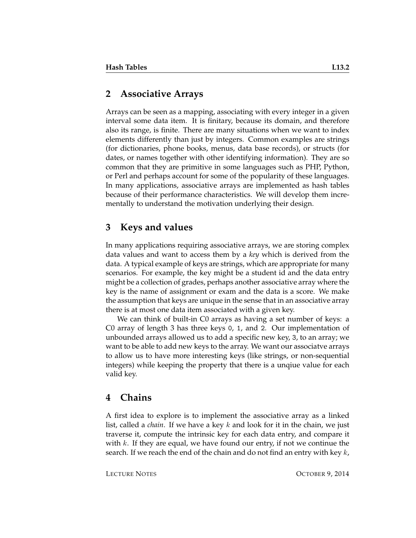## **2 Associative Arrays**

Arrays can be seen as a mapping, associating with every integer in a given interval some data item. It is finitary, because its domain, and therefore also its range, is finite. There are many situations when we want to index elements differently than just by integers. Common examples are strings (for dictionaries, phone books, menus, data base records), or structs (for dates, or names together with other identifying information). They are so common that they are primitive in some languages such as PHP, Python, or Perl and perhaps account for some of the popularity of these languages. In many applications, associative arrays are implemented as hash tables because of their performance characteristics. We will develop them incrementally to understand the motivation underlying their design.

# **3 Keys and values**

In many applications requiring associative arrays, we are storing complex data values and want to access them by a *key* which is derived from the data. A typical example of keys are strings, which are appropriate for many scenarios. For example, the key might be a student id and the data entry might be a collection of grades, perhaps another associative array where the key is the name of assignment or exam and the data is a score. We make the assumption that keys are unique in the sense that in an associative array there is at most one data item associated with a given key.

We can think of built-in C0 arrays as having a set number of keys: a C0 array of length 3 has three keys 0, 1, and 2. Our implementation of unbounded arrays allowed us to add a specific new key, 3, to an array; we want to be able to add new keys to the array. We want our associatve arrays to allow us to have more interesting keys (like strings, or non-sequential integers) while keeping the property that there is a unqiue value for each valid key.

# **4 Chains**

A first idea to explore is to implement the associative array as a linked list, called a *chain*. If we have a key k and look for it in the chain, we just traverse it, compute the intrinsic key for each data entry, and compare it with  $k$ . If they are equal, we have found our entry, if not we continue the search. If we reach the end of the chain and do not find an entry with key  $k$ ,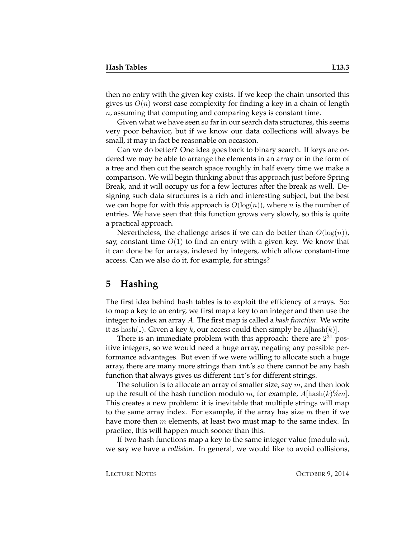then no entry with the given key exists. If we keep the chain unsorted this gives us  $O(n)$  worst case complexity for finding a key in a chain of length  $n$ , assuming that computing and comparing keys is constant time.

Given what we have seen so far in our search data structures, this seems very poor behavior, but if we know our data collections will always be small, it may in fact be reasonable on occasion.

Can we do better? One idea goes back to binary search. If keys are ordered we may be able to arrange the elements in an array or in the form of a tree and then cut the search space roughly in half every time we make a comparison. We will begin thinking about this approach just before Spring Break, and it will occupy us for a few lectures after the break as well. Designing such data structures is a rich and interesting subject, but the best we can hope for with this approach is  $O(log(n))$ , where *n* is the number of entries. We have seen that this function grows very slowly, so this is quite a practical approach.

Nevertheless, the challenge arises if we can do better than  $O(\log(n))$ , say, constant time  $O(1)$  to find an entry with a given key. We know that it can done be for arrays, indexed by integers, which allow constant-time access. Can we also do it, for example, for strings?

#### **5 Hashing**

The first idea behind hash tables is to exploit the efficiency of arrays. So: to map a key to an entry, we first map a key to an integer and then use the integer to index an array A. The first map is called a *hash function*. We write it as hash( $\Box$ ). Given a key k, our access could then simply be  $A[\text{hash}(k)]$ .

There is an immediate problem with this approach: there are  $2^{31}$  positive integers, so we would need a huge array, negating any possible performance advantages. But even if we were willing to allocate such a huge array, there are many more strings than int's so there cannot be any hash function that always gives us different int's for different strings.

The solution is to allocate an array of smaller size, say  $m$ , and then look up the result of the hash function modulo m, for example,  $A|\text{hash}(k)\%m|$ . This creates a new problem: it is inevitable that multiple strings will map to the same array index. For example, if the array has size  $m$  then if we have more then  $m$  elements, at least two must map to the same index. In practice, this will happen much sooner than this.

If two hash functions map a key to the same integer value (modulo  $m$ ), we say we have a *collision*. In general, we would like to avoid collisions,

LECTURE NOTES **OCTOBER 9, 2014**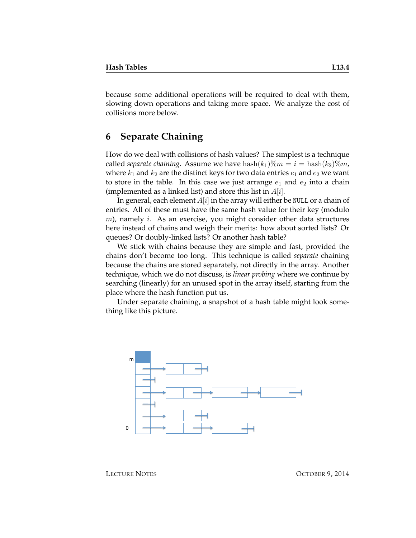because some additional operations will be required to deal with them, slowing down operations and taking more space. We analyze the cost of collisions more below.

# **6 Separate Chaining**

How do we deal with collisions of hash values? The simplest is a technique called *separate chaining*. Assume we have  $\text{hash}(k_1)\%m = i = \text{hash}(k_2)\%m$ , where  $k_1$  and  $k_2$  are the distinct keys for two data entries  $e_1$  and  $e_2$  we want to store in the table. In this case we just arrange  $e_1$  and  $e_2$  into a chain (implemented as a linked list) and store this list in  $A[i]$ .

In general, each element  $A[i]$  in the array will either be NULL or a chain of entries. All of these must have the same hash value for their key (modulo  $m$ ), namely *i*. As an exercise, you might consider other data structures here instead of chains and weigh their merits: how about sorted lists? Or queues? Or doubly-linked lists? Or another hash table?

We stick with chains because they are simple and fast, provided the chains don't become too long. This technique is called *separate* chaining because the chains are stored separately, not directly in the array. Another technique, which we do not discuss, is *linear probing* where we continue by searching (linearly) for an unused spot in the array itself, starting from the place where the hash function put us.

Under separate chaining, a snapshot of a hash table might look something like this picture.



LECTURE NOTES **OCTOBER 9, 2014**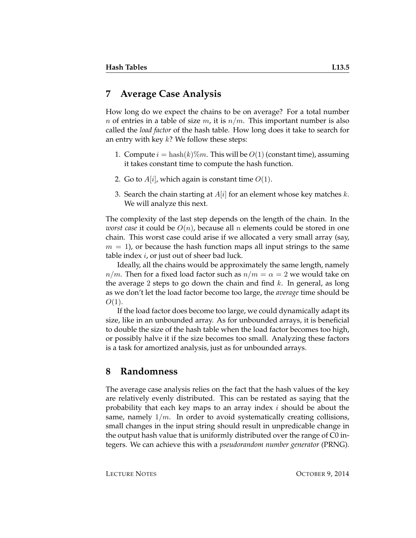#### **7 Average Case Analysis**

How long do we expect the chains to be on average? For a total number n of entries in a table of size m, it is  $n/m$ . This important number is also called the *load factor* of the hash table. How long does it take to search for an entry with key  $k$ ? We follow these steps:

- 1. Compute  $i = \text{hash}(k)\%m$ . This will be  $O(1)$  (constant time), assuming it takes constant time to compute the hash function.
- 2. Go to  $A[i]$ , which again is constant time  $O(1)$ .
- 3. Search the chain starting at  $A[i]$  for an element whose key matches k. We will analyze this next.

The complexity of the last step depends on the length of the chain. In the *worst case* it could be  $O(n)$ , because all n elements could be stored in one chain. This worst case could arise if we allocated a very small array (say,  $m = 1$ , or because the hash function maps all input strings to the same table index  $i$ , or just out of sheer bad luck.

Ideally, all the chains would be approximately the same length, namely  $n/m$ . Then for a fixed load factor such as  $n/m = \alpha = 2$  we would take on the average 2 steps to go down the chain and find  $k$ . In general, as long as we don't let the load factor become too large, the *average* time should be  $O(1)$ .

If the load factor does become too large, we could dynamically adapt its size, like in an unbounded array. As for unbounded arrays, it is beneficial to double the size of the hash table when the load factor becomes too high, or possibly halve it if the size becomes too small. Analyzing these factors is a task for amortized analysis, just as for unbounded arrays.

#### **8 Randomness**

The average case analysis relies on the fact that the hash values of the key are relatively evenly distributed. This can be restated as saying that the probability that each key maps to an array index  $i$  should be about the same, namely  $1/m$ . In order to avoid systematically creating collisions, small changes in the input string should result in unpredicable change in the output hash value that is uniformly distributed over the range of C0 integers. We can achieve this with a *pseudorandom number generator* (PRNG).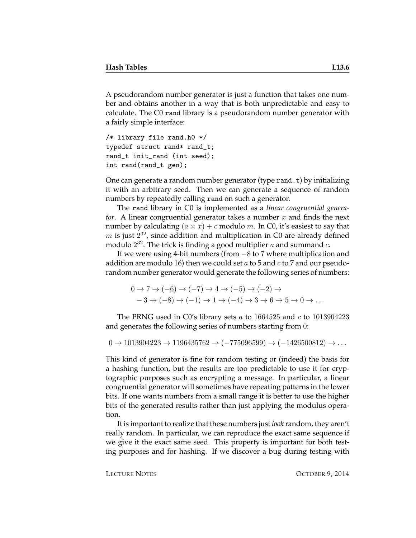A pseudorandom number generator is just a function that takes one number and obtains another in a way that is both unpredictable and easy to calculate. The C0 rand library is a pseudorandom number generator with a fairly simple interface:

```
/* library file rand.h0 */
typedef struct rand* rand_t;
rand_t init_rand (int seed);
int rand(rand_t gen);
```
One can generate a random number generator (type rand\_t) by initializing it with an arbitrary seed. Then we can generate a sequence of random numbers by repeatedly calling rand on such a generator.

The rand library in C0 is implemented as a *linear congruential generator.* A linear congruential generator takes a number x and finds the next number by calculating  $(a \times x) + c$  modulo m. In C0, it's easiest to say that  $m$  is just  $2^{32}$ , since addition and multiplication in C0 are already defined modulo  $2^{32}$ . The trick is finding a good multiplier  $a$  and summand  $c$ .

If we were using 4-bit numbers (from −8 to 7 where multiplication and addition are modulo 16) then we could set a to 5 and c to 7 and our pseudorandom number generator would generate the following series of numbers:

$$
0 \to 7 \to (-6) \to (-7) \to 4 \to (-5) \to (-2) \to
$$
  

$$
-3 \to (-8) \to (-1) \to 1 \to (-4) \to 3 \to 6 \to 5 \to 0 \to \dots
$$

The PRNG used in C0's library sets  $a$  to 1664525 and  $c$  to 1013904223 and generates the following series of numbers starting from 0:

 $0 \rightarrow 1013904223 \rightarrow 1196435762 \rightarrow (-775096599) \rightarrow (-1426500812) \rightarrow \dots$ 

This kind of generator is fine for random testing or (indeed) the basis for a hashing function, but the results are too predictable to use it for cryptographic purposes such as encrypting a message. In particular, a linear congruential generator will sometimes have repeating patterns in the lower bits. If one wants numbers from a small range it is better to use the higher bits of the generated results rather than just applying the modulus operation.

It is important to realize that these numbers just *look* random, they aren't really random. In particular, we can reproduce the exact same sequence if we give it the exact same seed. This property is important for both testing purposes and for hashing. If we discover a bug during testing with